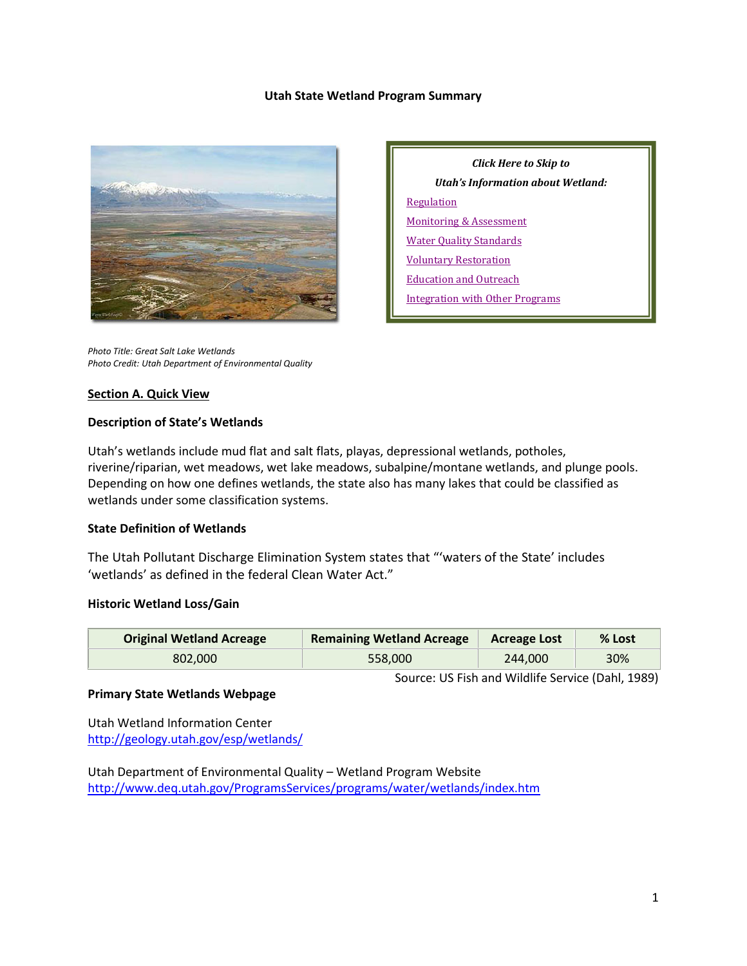#### **Utah State Wetland Program Summary**



*Click Here to Skip to Utah's Information about Wetland:* **[Regulation](#page-2-0)** [Monitoring & Assessment](#page-4-0) [Water Quality Standards](#page-6-0) [Voluntary Restoration](#page-7-0) [Education and Outreach](#page-8-0) [Integration with Other Programs](#page-9-0)

*Photo Title: Great Salt Lake Wetlands Photo Credit: Utah Department of Environmental Quality*

#### **Section A. Quick View**

#### **Description of State's Wetlands**

Utah's wetlands include mud flat and salt flats, playas, depressional wetlands, potholes, riverine/riparian, wet meadows, wet lake meadows, subalpine/montane wetlands, and plunge pools. Depending on how one defines wetlands, the state also has many lakes that could be classified as wetlands under some classification systems.

#### **State Definition of Wetlands**

The Utah Pollutant Discharge Elimination System states that "'waters of the State' includes 'wetlands' as defined in the federal Clean Water Act."

#### **Historic Wetland Loss/Gain**

| <b>Original Wetland Acreage</b> | <b>Remaining Wetland Acreage</b> | <b>Acreage Lost</b> | $%$ Lost |
|---------------------------------|----------------------------------|---------------------|----------|
| 802.000                         | 558,000                          | 244,000             | 30%      |

Source: US Fish and Wildlife Service (Dahl, 1989)

#### **Primary State Wetlands Webpage**

Utah Wetland Information Center <http://geology.utah.gov/esp/wetlands/>

Utah Department of Environmental Quality – Wetland Program Website <http://www.deq.utah.gov/ProgramsServices/programs/water/wetlands/index.htm>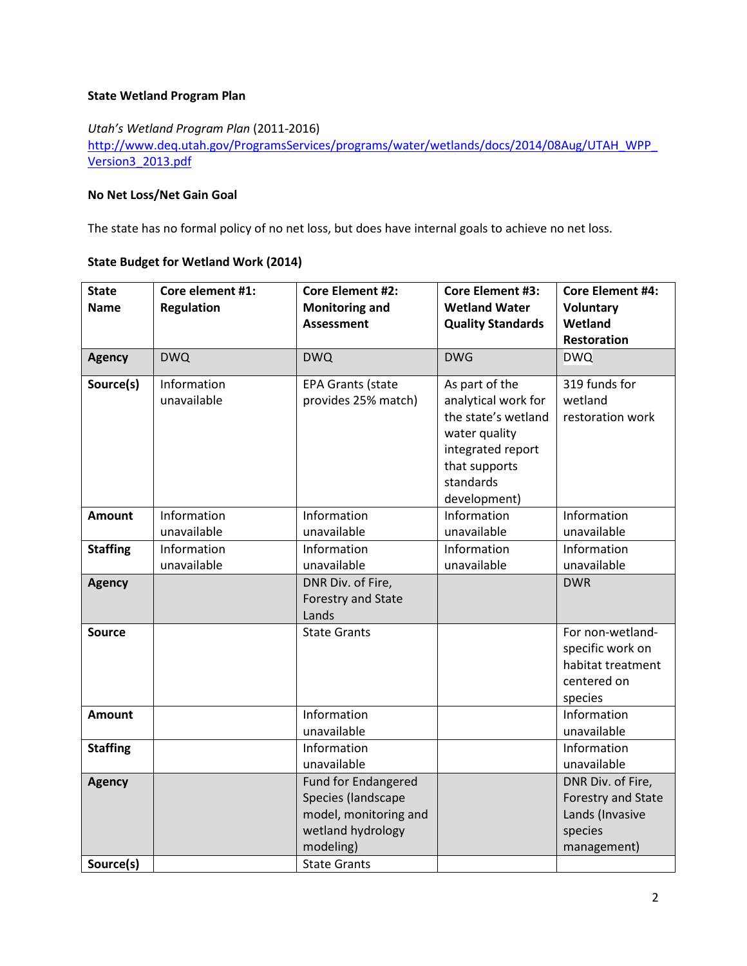## **State Wetland Program Plan**

*Utah's Wetland Program Plan* (2011-2016)

[http://www.deq.utah.gov/ProgramsServices/programs/water/wetlands/docs/2014/08Aug/UTAH\\_WPP\\_](http://www.deq.utah.gov/ProgramsServices/programs/water/wetlands/docs/2014/08Aug/UTAH_WPP_Version3_2013.pdf) [Version3\\_2013.pdf](http://www.deq.utah.gov/ProgramsServices/programs/water/wetlands/docs/2014/08Aug/UTAH_WPP_Version3_2013.pdf)

# **No Net Loss/Net Gain Goal**

The state has no formal policy of no net loss, but does have internal goals to achieve no net loss.

#### **State Budget for Wetland Work (2014)**

| <b>State</b><br><b>Name</b> | Core element #1:<br><b>Regulation</b> | <b>Core Element #2:</b><br><b>Monitoring and</b>                                                                                   | <b>Core Element #3:</b><br><b>Wetland Water</b>                                                                                                  | <b>Core Element #4:</b><br><b>Voluntary</b>                                          |
|-----------------------------|---------------------------------------|------------------------------------------------------------------------------------------------------------------------------------|--------------------------------------------------------------------------------------------------------------------------------------------------|--------------------------------------------------------------------------------------|
|                             |                                       | <b>Assessment</b>                                                                                                                  | <b>Quality Standards</b>                                                                                                                         | Wetland<br>Restoration                                                               |
| <b>Agency</b>               | <b>DWQ</b>                            | <b>DWQ</b>                                                                                                                         | <b>DWG</b>                                                                                                                                       | <b>DWQ</b>                                                                           |
|                             |                                       |                                                                                                                                    |                                                                                                                                                  |                                                                                      |
| Source(s)                   | Information<br>unavailable            | <b>EPA Grants (state</b><br>provides 25% match)                                                                                    | As part of the<br>analytical work for<br>the state's wetland<br>water quality<br>integrated report<br>that supports<br>standards<br>development) | 319 funds for<br>wetland<br>restoration work                                         |
| <b>Amount</b>               | Information                           | Information                                                                                                                        | Information                                                                                                                                      | Information                                                                          |
|                             | unavailable                           | unavailable                                                                                                                        | unavailable                                                                                                                                      | unavailable                                                                          |
| <b>Staffing</b>             | Information                           | Information                                                                                                                        | Information                                                                                                                                      | Information                                                                          |
|                             | unavailable                           | unavailable                                                                                                                        | unavailable                                                                                                                                      | unavailable                                                                          |
| <b>Agency</b>               |                                       | DNR Div. of Fire,<br>Forestry and State<br>Lands                                                                                   |                                                                                                                                                  | <b>DWR</b>                                                                           |
| <b>Source</b>               |                                       | <b>State Grants</b>                                                                                                                |                                                                                                                                                  | For non-wetland-<br>specific work on<br>habitat treatment<br>centered on<br>species  |
| <b>Amount</b>               |                                       | Information<br>unavailable                                                                                                         |                                                                                                                                                  | Information<br>unavailable                                                           |
| <b>Staffing</b>             |                                       | Information<br>unavailable                                                                                                         |                                                                                                                                                  | Information<br>unavailable                                                           |
| <b>Agency</b><br>Source(s)  |                                       | <b>Fund for Endangered</b><br>Species (landscape<br>model, monitoring and<br>wetland hydrology<br>modeling)<br><b>State Grants</b> |                                                                                                                                                  | DNR Div. of Fire,<br>Forestry and State<br>Lands (Invasive<br>species<br>management) |
|                             |                                       |                                                                                                                                    |                                                                                                                                                  |                                                                                      |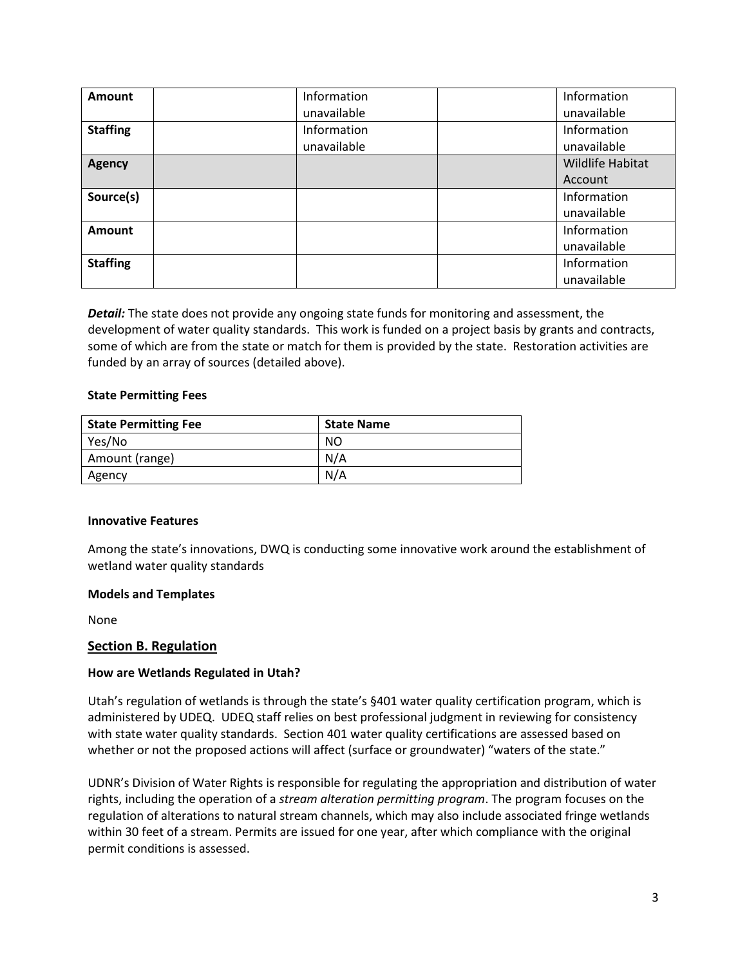| Amount          | Information | Information             |
|-----------------|-------------|-------------------------|
|                 | unavailable | unavailable             |
| <b>Staffing</b> | Information | Information             |
|                 | unavailable | unavailable             |
| <b>Agency</b>   |             | <b>Wildlife Habitat</b> |
|                 |             | Account                 |
| Source(s)       |             | Information             |
|                 |             | unavailable             |
| Amount          |             | Information             |
|                 |             | unavailable             |
| <b>Staffing</b> |             | Information             |
|                 |             | unavailable             |

*Detail:* The state does not provide any ongoing state funds for monitoring and assessment, the development of water quality standards. This work is funded on a project basis by grants and contracts, some of which are from the state or match for them is provided by the state. Restoration activities are funded by an array of sources (detailed above).

#### **State Permitting Fees**

| <b>State Permitting Fee</b> | <b>State Name</b> |
|-----------------------------|-------------------|
| Yes/No                      | NO                |
| Amount (range)              | N/A               |
| Agency                      | N/A               |

#### **Innovative Features**

Among the state's innovations, DWQ is conducting some innovative work around the establishment of wetland water quality standards

#### **Models and Templates**

None

#### <span id="page-2-0"></span>**Section B. Regulation**

#### **How are Wetlands Regulated in Utah?**

Utah's regulation of wetlands is through the state's §401 water quality certification program, which is administered by UDEQ. UDEQ staff relies on best professional judgment in reviewing for consistency with state water quality standards. Section 401 water quality certifications are assessed based on whether or not the proposed actions will affect (surface or groundwater) "waters of the state."

UDNR's Division of Water Rights is responsible for regulating the appropriation and distribution of water rights, including the operation of a *stream alteration permitting program*. The program focuses on the regulation of alterations to natural stream channels, which may also include associated fringe wetlands within 30 feet of a stream. Permits are issued for one year, after which compliance with the original permit conditions is assessed.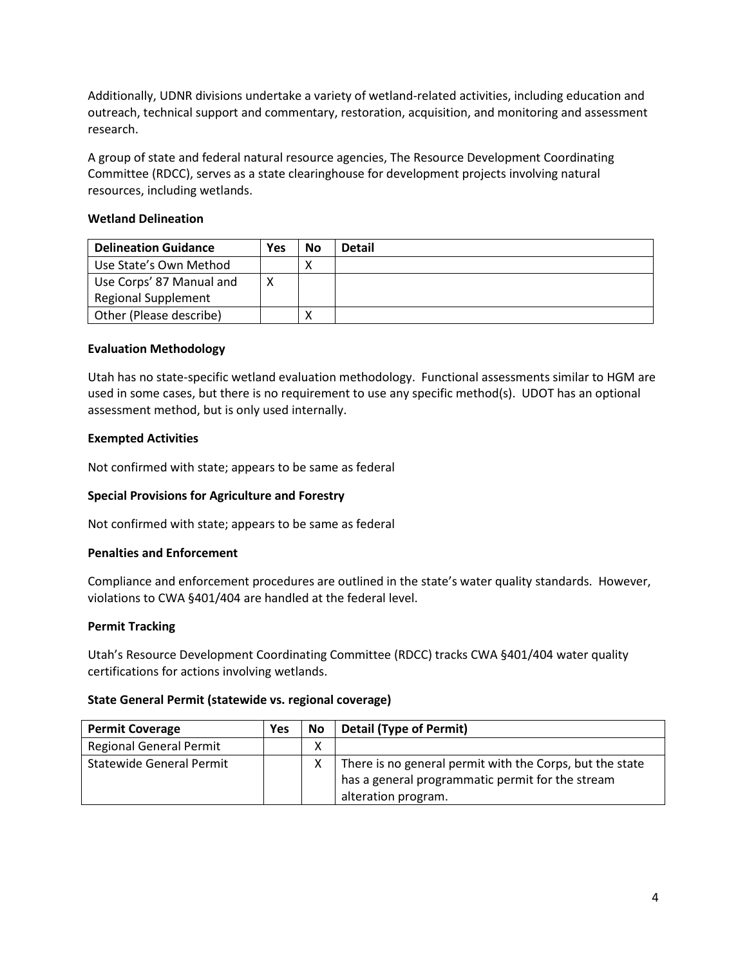Additionally, UDNR divisions undertake a variety of wetland-related activities, including education and outreach, technical support and commentary, restoration, acquisition, and monitoring and assessment research.

A group of state and federal natural resource agencies, The Resource Development Coordinating Committee (RDCC), serves as a state clearinghouse for development projects involving natural resources, including wetlands.

# **Wetland Delineation**

| <b>Delineation Guidance</b> | Yes | No | <b>Detail</b> |
|-----------------------------|-----|----|---------------|
| Use State's Own Method      |     |    |               |
| Use Corps' 87 Manual and    |     |    |               |
| <b>Regional Supplement</b>  |     |    |               |
| Other (Please describe)     |     |    |               |

# **Evaluation Methodology**

Utah has no state-specific wetland evaluation methodology. Functional assessments similar to HGM are used in some cases, but there is no requirement to use any specific method(s). UDOT has an optional assessment method, but is only used internally.

#### **Exempted Activities**

Not confirmed with state; appears to be same as federal

#### **Special Provisions for Agriculture and Forestry**

Not confirmed with state; appears to be same as federal

#### **Penalties and Enforcement**

Compliance and enforcement procedures are outlined in the state's water quality standards. However, violations to CWA §401/404 are handled at the federal level.

#### **Permit Tracking**

Utah's Resource Development Coordinating Committee (RDCC) tracks CWA §401/404 water quality certifications for actions involving wetlands.

#### **State General Permit (statewide vs. regional coverage)**

| <b>Permit Coverage</b>         | Yes | No. | <b>Detail (Type of Permit)</b>                           |
|--------------------------------|-----|-----|----------------------------------------------------------|
| <b>Regional General Permit</b> |     | ∧   |                                                          |
| Statewide General Permit       |     |     | There is no general permit with the Corps, but the state |
|                                |     |     | has a general programmatic permit for the stream         |
|                                |     |     | alteration program.                                      |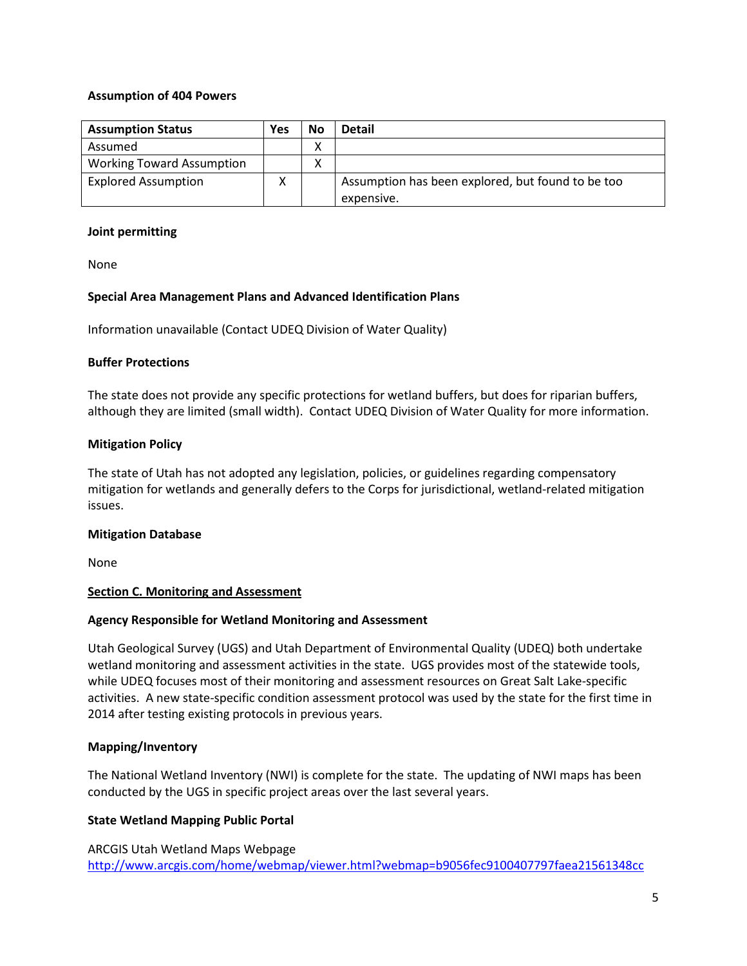#### **Assumption of 404 Powers**

| <b>Assumption Status</b>         | Yes | No | <b>Detail</b>                                     |
|----------------------------------|-----|----|---------------------------------------------------|
| Assumed                          |     | Λ  |                                                   |
| <b>Working Toward Assumption</b> |     |    |                                                   |
| <b>Explored Assumption</b>       | Χ   |    | Assumption has been explored, but found to be too |
|                                  |     |    | expensive.                                        |

#### **Joint permitting**

None

#### **Special Area Management Plans and Advanced Identification Plans**

Information unavailable (Contact UDEQ Division of Water Quality)

#### **Buffer Protections**

The state does not provide any specific protections for wetland buffers, but does for riparian buffers, although they are limited (small width). Contact UDEQ Division of Water Quality for more information.

#### **Mitigation Policy**

The state of Utah has not adopted any legislation, policies, or guidelines regarding compensatory mitigation for wetlands and generally defers to the Corps for jurisdictional, wetland-related mitigation issues.

#### **Mitigation Database**

None

#### <span id="page-4-0"></span>**Section C. Monitoring and Assessment**

#### **Agency Responsible for Wetland Monitoring and Assessment**

Utah Geological Survey (UGS) and Utah Department of Environmental Quality (UDEQ) both undertake wetland monitoring and assessment activities in the state. UGS provides most of the statewide tools, while UDEQ focuses most of their monitoring and assessment resources on Great Salt Lake-specific activities. A new state-specific condition assessment protocol was used by the state for the first time in 2014 after testing existing protocols in previous years.

#### **Mapping/Inventory**

The National Wetland Inventory (NWI) is complete for the state. The updating of NWI maps has been conducted by the UGS in specific project areas over the last several years.

#### **State Wetland Mapping Public Portal**

ARCGIS Utah Wetland Maps Webpage <http://www.arcgis.com/home/webmap/viewer.html?webmap=b9056fec9100407797faea21561348cc>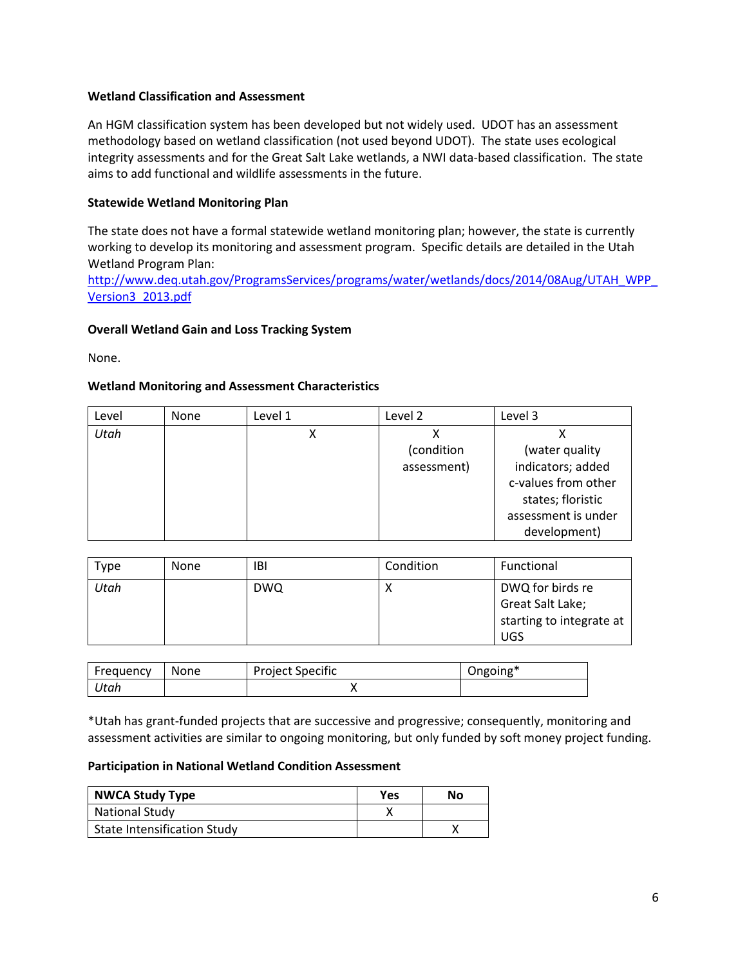#### **Wetland Classification and Assessment**

An HGM classification system has been developed but not widely used. UDOT has an assessment methodology based on wetland classification (not used beyond UDOT). The state uses ecological integrity assessments and for the Great Salt Lake wetlands, a NWI data-based classification. The state aims to add functional and wildlife assessments in the future.

# **Statewide Wetland Monitoring Plan**

The state does not have a formal statewide wetland monitoring plan; however, the state is currently working to develop its monitoring and assessment program. Specific details are detailed in the Utah Wetland Program Plan:

[http://www.deq.utah.gov/ProgramsServices/programs/water/wetlands/docs/2014/08Aug/UTAH\\_WPP\\_](http://www.deq.utah.gov/ProgramsServices/programs/water/wetlands/docs/2014/08Aug/UTAH_WPP_Version3_2013.pdf) [Version3\\_2013.pdf](http://www.deq.utah.gov/ProgramsServices/programs/water/wetlands/docs/2014/08Aug/UTAH_WPP_Version3_2013.pdf)

# **Overall Wetland Gain and Loss Tracking System**

None.

# **Wetland Monitoring and Assessment Characteristics**

| Level | None | Level 1 | Level 2     | Level 3             |
|-------|------|---------|-------------|---------------------|
| Utah  |      |         |             |                     |
|       |      |         | (condition  | (water quality      |
|       |      |         | assessment) | indicators; added   |
|       |      |         |             | c-values from other |
|       |      |         |             | states; floristic   |
|       |      |         |             | assessment is under |
|       |      |         |             | development)        |

| Type | <b>None</b> | IBI        | Condition | Functional                                                                     |
|------|-------------|------------|-----------|--------------------------------------------------------------------------------|
| Utah |             | <b>DWQ</b> | $\lambda$ | DWQ for birds re<br>Great Salt Lake;<br>starting to integrate at<br><b>UGS</b> |

| Frequency | None | <b>Project Specific</b> | Ongoing* |
|-----------|------|-------------------------|----------|
| Utah      |      |                         |          |

\*Utah has grant-funded projects that are successive and progressive; consequently, monitoring and assessment activities are similar to ongoing monitoring, but only funded by soft money project funding.

#### **Participation in National Wetland Condition Assessment**

| <b>NWCA Study Type</b>             | Yes | No |
|------------------------------------|-----|----|
| National Study                     |     |    |
| <b>State Intensification Study</b> |     |    |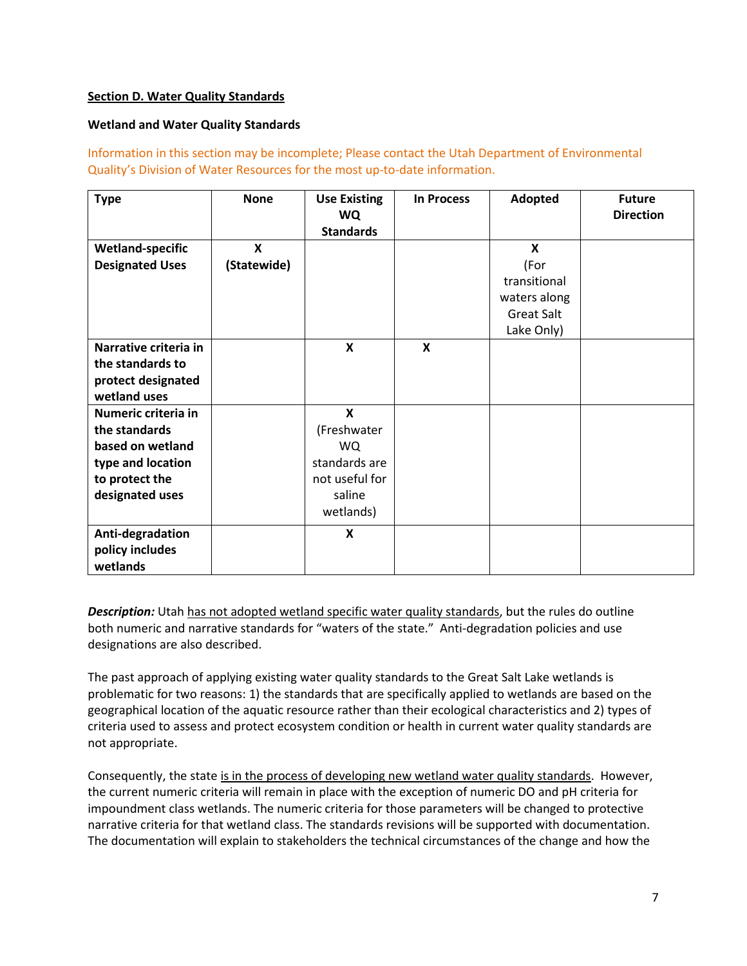# <span id="page-6-0"></span>**Section D. Water Quality Standards**

## **Wetland and Water Quality Standards**

Information in this section may be incomplete; Please contact the Utah Department of Environmental Quality's Division of Water Resources for the most up-to-date information.

| <b>Type</b>                                                                                                        | <b>None</b>      | <b>Use Existing</b><br>WQ<br><b>Standards</b>                                           | <b>In Process</b>         | Adopted                                                                                              | <b>Future</b><br><b>Direction</b> |
|--------------------------------------------------------------------------------------------------------------------|------------------|-----------------------------------------------------------------------------------------|---------------------------|------------------------------------------------------------------------------------------------------|-----------------------------------|
| <b>Wetland-specific</b><br><b>Designated Uses</b>                                                                  | X<br>(Statewide) |                                                                                         |                           | $\boldsymbol{\mathsf{x}}$<br>(For<br>transitional<br>waters along<br><b>Great Salt</b><br>Lake Only) |                                   |
| Narrative criteria in<br>the standards to<br>protect designated<br>wetland uses                                    |                  | $\boldsymbol{\mathsf{x}}$                                                               | $\boldsymbol{\mathsf{x}}$ |                                                                                                      |                                   |
| Numeric criteria in<br>the standards<br>based on wetland<br>type and location<br>to protect the<br>designated uses |                  | X<br>(Freshwater<br><b>WQ</b><br>standards are<br>not useful for<br>saline<br>wetlands) |                           |                                                                                                      |                                   |
| Anti-degradation<br>policy includes<br>wetlands                                                                    |                  | X                                                                                       |                           |                                                                                                      |                                   |

**Description:** Utah has not adopted wetland specific water quality standards, but the rules do outline both numeric and narrative standards for "waters of the state." Anti-degradation policies and use designations are also described.

The past approach of applying existing water quality standards to the Great Salt Lake wetlands is problematic for two reasons: 1) the standards that are specifically applied to wetlands are based on the geographical location of the aquatic resource rather than their ecological characteristics and 2) types of criteria used to assess and protect ecosystem condition or health in current water quality standards are not appropriate.

Consequently, the state is in the process of developing new wetland water quality standards. However, the current numeric criteria will remain in place with the exception of numeric DO and pH criteria for impoundment class wetlands. The numeric criteria for those parameters will be changed to protective narrative criteria for that wetland class. The standards revisions will be supported with documentation. The documentation will explain to stakeholders the technical circumstances of the change and how the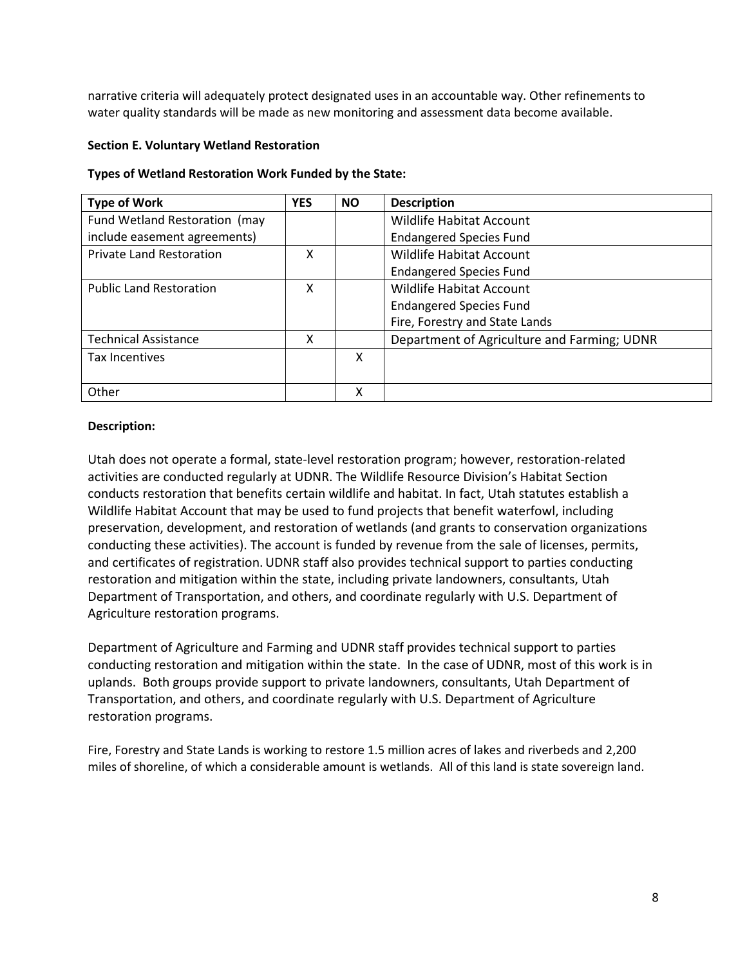narrative criteria will adequately protect designated uses in an accountable way. Other refinements to water quality standards will be made as new monitoring and assessment data become available.

## <span id="page-7-0"></span>**Section E. Voluntary Wetland Restoration**

## **Types of Wetland Restoration Work Funded by the State:**

| <b>Type of Work</b>             | <b>YES</b> | <b>NO</b> | <b>Description</b>                          |
|---------------------------------|------------|-----------|---------------------------------------------|
| Fund Wetland Restoration (may   |            |           | <b>Wildlife Habitat Account</b>             |
| include easement agreements)    |            |           | <b>Endangered Species Fund</b>              |
| <b>Private Land Restoration</b> | χ          |           | <b>Wildlife Habitat Account</b>             |
|                                 |            |           | <b>Endangered Species Fund</b>              |
| <b>Public Land Restoration</b>  | x          |           | Wildlife Habitat Account                    |
|                                 |            |           | <b>Endangered Species Fund</b>              |
|                                 |            |           | Fire, Forestry and State Lands              |
| <b>Technical Assistance</b>     | χ          |           | Department of Agriculture and Farming; UDNR |
| Tax Incentives                  |            | X         |                                             |
|                                 |            |           |                                             |
| Other                           |            | χ         |                                             |

# **Description:**

Utah does not operate a formal, state-level restoration program; however, restoration-related activities are conducted regularly at UDNR. The Wildlife Resource Division's Habitat Section conducts restoration that benefits certain wildlife and habitat. In fact, Utah statutes establish a Wildlife Habitat Account that may be used to fund projects that benefit waterfowl, including preservation, development, and restoration of wetlands (and grants to conservation organizations conducting these activities). The account is funded by revenue from the sale of licenses, permits, and certificates of registration. UDNR staff also provides technical support to parties conducting restoration and mitigation within the state, including private landowners, consultants, Utah Department of Transportation, and others, and coordinate regularly with U.S. Department of Agriculture restoration programs.

Department of Agriculture and Farming and UDNR staff provides technical support to parties conducting restoration and mitigation within the state. In the case of UDNR, most of this work is in uplands. Both groups provide support to private landowners, consultants, Utah Department of Transportation, and others, and coordinate regularly with U.S. Department of Agriculture restoration programs.

Fire, Forestry and State Lands is working to restore 1.5 million acres of lakes and riverbeds and 2,200 miles of shoreline, of which a considerable amount is wetlands. All of this land is state sovereign land.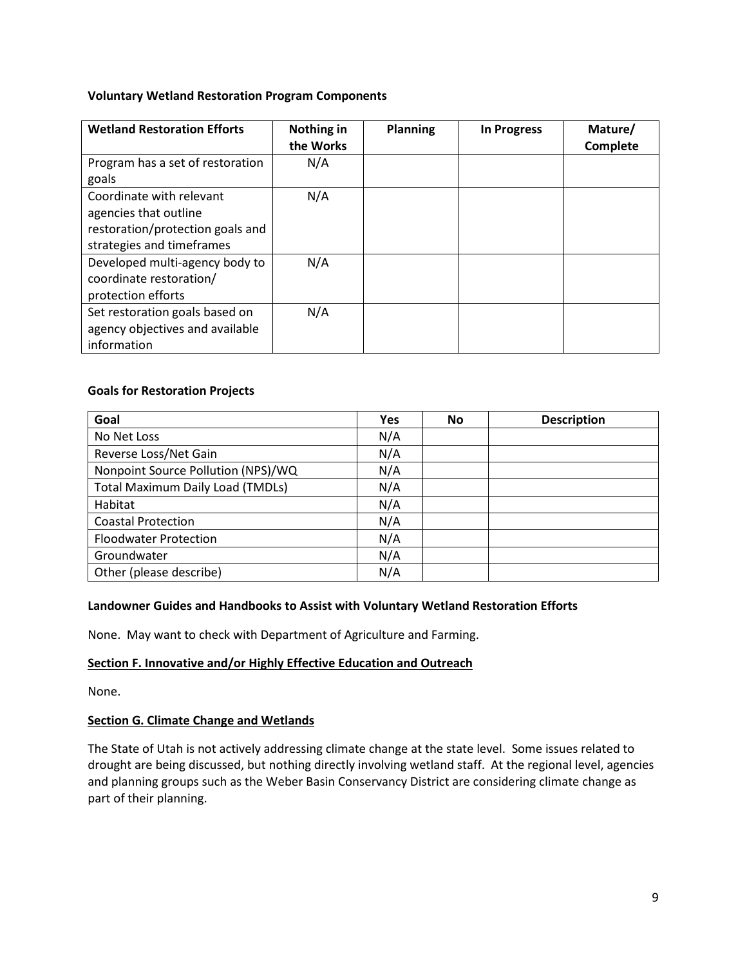## **Voluntary Wetland Restoration Program Components**

| <b>Wetland Restoration Efforts</b>                                                                                 | Nothing in<br>the Works | <b>Planning</b> | In Progress | Mature/<br>Complete |
|--------------------------------------------------------------------------------------------------------------------|-------------------------|-----------------|-------------|---------------------|
| Program has a set of restoration<br>goals                                                                          | N/A                     |                 |             |                     |
| Coordinate with relevant<br>agencies that outline<br>restoration/protection goals and<br>strategies and timeframes | N/A                     |                 |             |                     |
| Developed multi-agency body to<br>coordinate restoration/<br>protection efforts                                    | N/A                     |                 |             |                     |
| Set restoration goals based on<br>agency objectives and available<br>information                                   | N/A                     |                 |             |                     |

## **Goals for Restoration Projects**

| Goal                                    | <b>Yes</b> | <b>No</b> | <b>Description</b> |
|-----------------------------------------|------------|-----------|--------------------|
| No Net Loss                             | N/A        |           |                    |
| Reverse Loss/Net Gain                   | N/A        |           |                    |
| Nonpoint Source Pollution (NPS)/WQ      | N/A        |           |                    |
| <b>Total Maximum Daily Load (TMDLs)</b> | N/A        |           |                    |
| Habitat                                 | N/A        |           |                    |
| <b>Coastal Protection</b>               | N/A        |           |                    |
| <b>Floodwater Protection</b>            | N/A        |           |                    |
| Groundwater                             | N/A        |           |                    |
| Other (please describe)                 | N/A        |           |                    |

#### **Landowner Guides and Handbooks to Assist with Voluntary Wetland Restoration Efforts**

None. May want to check with Department of Agriculture and Farming.

## <span id="page-8-0"></span>**Section F. Innovative and/or Highly Effective Education and Outreach**

None.

#### **Section G. Climate Change and Wetlands**

The State of Utah is not actively addressing climate change at the state level. Some issues related to drought are being discussed, but nothing directly involving wetland staff. At the regional level, agencies and planning groups such as the Weber Basin Conservancy District are considering climate change as part of their planning.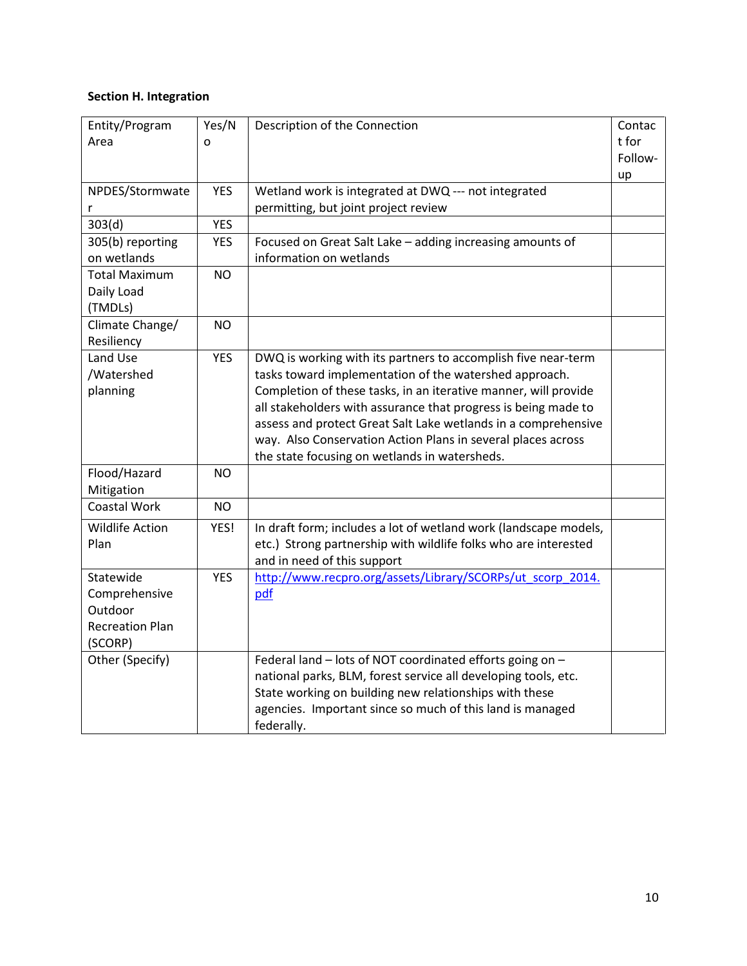# <span id="page-9-0"></span>**Section H. Integration**

| Entity/Program         | Yes/N      | Description of the Connection                                    | Contac  |
|------------------------|------------|------------------------------------------------------------------|---------|
| Area                   | o          |                                                                  | t for   |
|                        |            |                                                                  | Follow- |
|                        |            |                                                                  | up      |
| NPDES/Stormwate        | <b>YES</b> | Wetland work is integrated at DWQ --- not integrated             |         |
| r                      |            | permitting, but joint project review                             |         |
| 303(d)                 | <b>YES</b> |                                                                  |         |
| 305(b) reporting       | <b>YES</b> | Focused on Great Salt Lake - adding increasing amounts of        |         |
| on wetlands            |            | information on wetlands                                          |         |
| <b>Total Maximum</b>   | <b>NO</b>  |                                                                  |         |
| Daily Load             |            |                                                                  |         |
| (TMDLs)                |            |                                                                  |         |
| Climate Change/        | <b>NO</b>  |                                                                  |         |
| Resiliency             |            |                                                                  |         |
| Land Use               | <b>YES</b> | DWQ is working with its partners to accomplish five near-term    |         |
| /Watershed             |            | tasks toward implementation of the watershed approach.           |         |
| planning               |            | Completion of these tasks, in an iterative manner, will provide  |         |
|                        |            | all stakeholders with assurance that progress is being made to   |         |
|                        |            | assess and protect Great Salt Lake wetlands in a comprehensive   |         |
|                        |            | way. Also Conservation Action Plans in several places across     |         |
|                        |            | the state focusing on wetlands in watersheds.                    |         |
| Flood/Hazard           | NO.        |                                                                  |         |
| Mitigation             |            |                                                                  |         |
| <b>Coastal Work</b>    | <b>NO</b>  |                                                                  |         |
| <b>Wildlife Action</b> | YES!       | In draft form; includes a lot of wetland work (landscape models, |         |
| Plan                   |            | etc.) Strong partnership with wildlife folks who are interested  |         |
|                        |            | and in need of this support                                      |         |
| Statewide              | <b>YES</b> | http://www.recpro.org/assets/Library/SCORPs/ut_scorp_2014.       |         |
| Comprehensive          |            | pdf                                                              |         |
| Outdoor                |            |                                                                  |         |
| <b>Recreation Plan</b> |            |                                                                  |         |
| (SCORP)                |            |                                                                  |         |
| Other (Specify)        |            | Federal land - lots of NOT coordinated efforts going on -        |         |
|                        |            | national parks, BLM, forest service all developing tools, etc.   |         |
|                        |            | State working on building new relationships with these           |         |
|                        |            | agencies. Important since so much of this land is managed        |         |
|                        |            | federally.                                                       |         |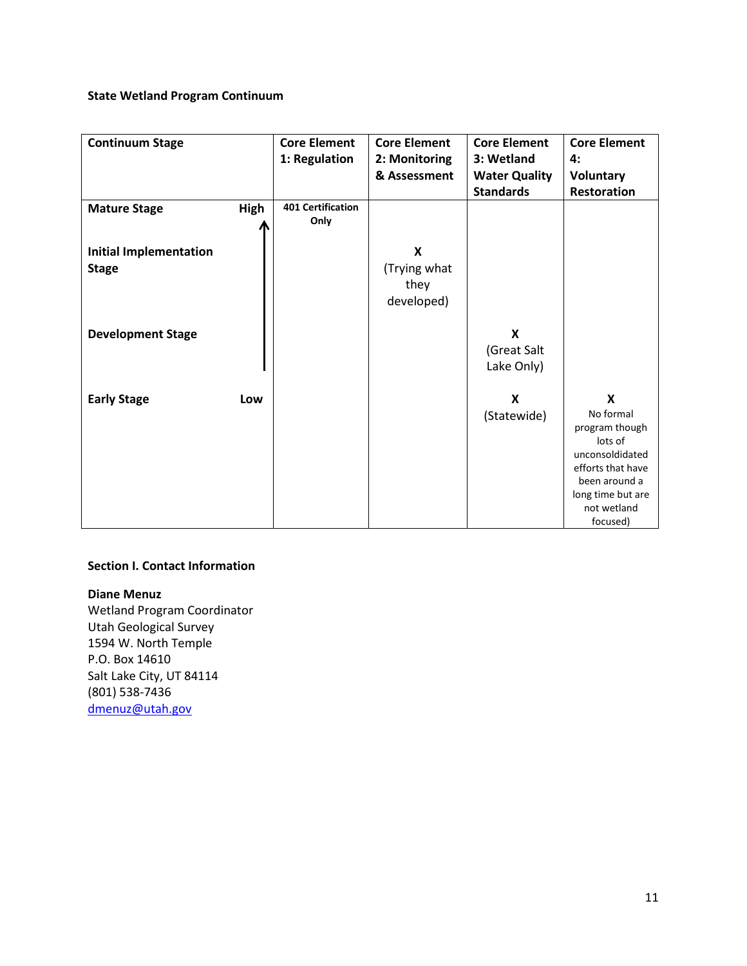# **State Wetland Program Continuum**

| <b>Continuum Stage</b>        |             | <b>Core Element</b>      | <b>Core Element</b> | <b>Core Element</b>  | <b>Core Element</b> |
|-------------------------------|-------------|--------------------------|---------------------|----------------------|---------------------|
|                               |             | 1: Regulation            | 2: Monitoring       | 3: Wetland           | 4:                  |
|                               |             |                          | & Assessment        | <b>Water Quality</b> | Voluntary           |
|                               |             |                          |                     | <b>Standards</b>     | Restoration         |
| <b>Mature Stage</b>           | <b>High</b> | <b>401 Certification</b> |                     |                      |                     |
|                               |             | Only                     |                     |                      |                     |
|                               |             |                          |                     |                      |                     |
| <b>Initial Implementation</b> |             |                          | X                   |                      |                     |
| <b>Stage</b>                  |             |                          | (Trying what        |                      |                     |
|                               |             |                          | they                |                      |                     |
|                               |             |                          | developed)          |                      |                     |
|                               |             |                          |                     |                      |                     |
| <b>Development Stage</b>      |             |                          |                     | X                    |                     |
|                               |             |                          |                     | (Great Salt          |                     |
|                               |             |                          |                     | Lake Only)           |                     |
|                               |             |                          |                     |                      |                     |
| <b>Early Stage</b>            | Low         |                          |                     | X                    | $\boldsymbol{x}$    |
|                               |             |                          |                     | (Statewide)          | No formal           |
|                               |             |                          |                     |                      | program though      |
|                               |             |                          |                     |                      | lots of             |
|                               |             |                          |                     |                      | unconsoldidated     |
|                               |             |                          |                     |                      | efforts that have   |
|                               |             |                          |                     |                      | been around a       |
|                               |             |                          |                     |                      | long time but are   |
|                               |             |                          |                     |                      | not wetland         |
|                               |             |                          |                     |                      | focused)            |

# **Section I. Contact Information**

# **Diane Menuz**

Wetland Program Coordinator Utah Geological Survey 1594 W. North Temple P.O. Box 14610 Salt Lake City, UT 84114 (801) 538-7436 [dmenuz@utah.gov](mailto:dmenuz@utah.gov)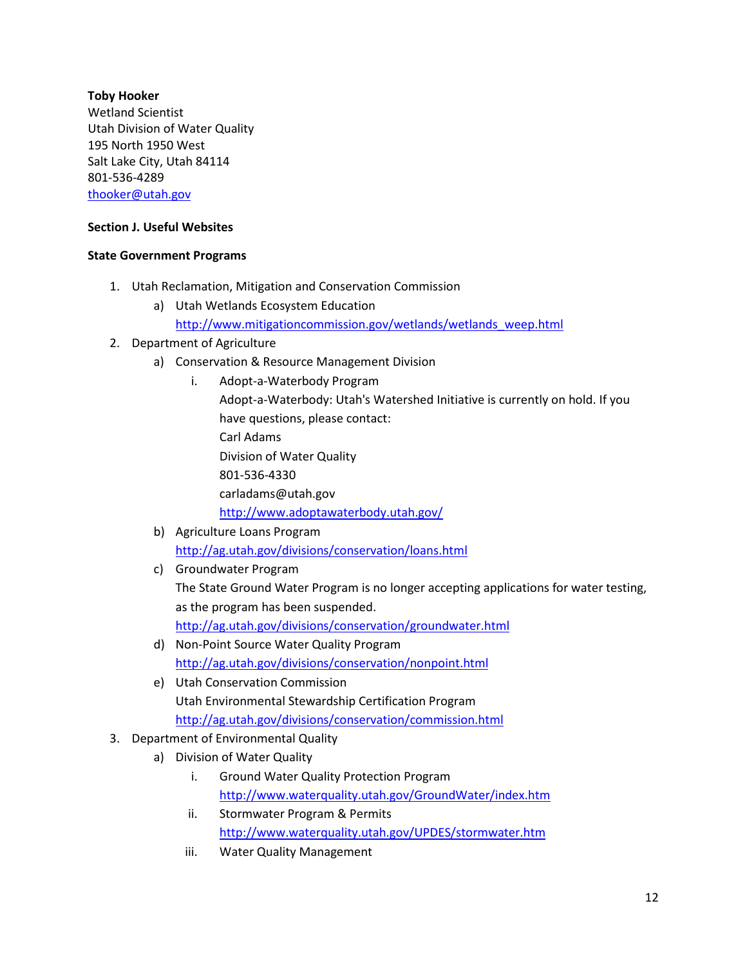# **Toby Hooker**

Wetland Scientist Utah Division of Water Quality 195 North 1950 West Salt Lake City, Utah 84114 801-536-4289 [thooker@utah.gov](mailto:thooker@utah.gov)

# **Section J. Useful Websites**

# **State Government Programs**

- 1. Utah Reclamation, Mitigation and Conservation Commission
	- a) Utah Wetlands Ecosystem Education [http://www.mitigationcommission.gov/wetlands/wetlands\\_weep.html](http://www.mitigationcommission.gov/wetlands/wetlands_weep.html)
- 2. Department of Agriculture
	- a) Conservation & Resource Management Division
		- i. Adopt-a-Waterbody Program Adopt-a-Waterbody: Utah's Watershed Initiative is currently on hold. If you have questions, please contact: Carl Adams Division of Water Quality 801-536-4330 carladams@utah.gov <http://www.adoptawaterbody.utah.gov/>
	- b) Agriculture Loans Program <http://ag.utah.gov/divisions/conservation/loans.html>
	- c) Groundwater Program The State Ground Water Program is no longer accepting applications for water testing, as the program has been suspended. <http://ag.utah.gov/divisions/conservation/groundwater.html>
	- d) Non-Point Source Water Quality Program <http://ag.utah.gov/divisions/conservation/nonpoint.html>
	- e) Utah Conservation Commission Utah Environmental Stewardship Certification Program <http://ag.utah.gov/divisions/conservation/commission.html>
- 3. Department of Environmental Quality
	- a) Division of Water Quality
		- i. Ground Water Quality Protection Program <http://www.waterquality.utah.gov/GroundWater/index.htm>
		- ii. Stormwater Program & Permits <http://www.waterquality.utah.gov/UPDES/stormwater.htm>
		- iii. Water Quality Management